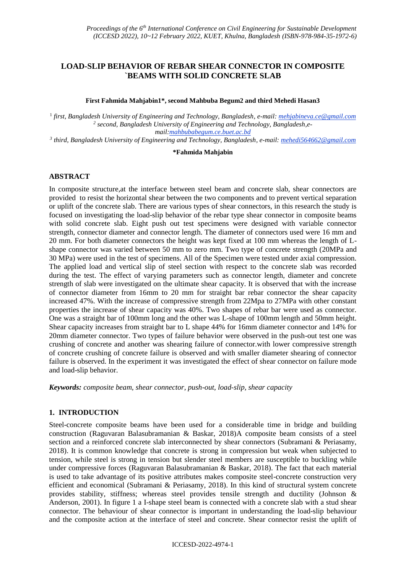## **LOAD-SLIP BEHAVIOR OF REBAR SHEAR CONNECTOR IN COMPOSITE `BEAMS WITH SOLID CONCRETE SLAB**

#### **First Fahmida Mahjabin1\*, second Mahbuba Begum2 and third Mehedi Hasan3**

1 *first, Bangladesh University of Engineering and Technology, Bangladesh, e-mail: mehjabineva.ce@gmail.com 2 second, Bangladesh University of Engineering and Technology, Bangladesh,email:mahbubabegum.ce.buet.ac.bd*

*3 third, Bangladesh University of Engineering and Technology, Bangladesh, e-mail: mehedi564662@gmail.com*

#### **\*Fahmida Mahjabin**

#### **ABSTRACT**

In composite structure,at the interface between steel beam and concrete slab, shear connectors are provided to resist the horizontal shear between the two components and to prevent vertical separation or uplift of the concrete slab. There are various types of shear connectors, in this research the study is focused on investigating the load-slip behavior of the rebar type shear connector in composite beams with solid concrete slab. Eight push out test specimens were designed with variable connector strength, connector diameter and connector length. The diameter of connectors used were 16 mm and 20 mm. For both diameter connectors the height was kept fixed at 100 mm whereas the length of Lshape connector was varied between 50 mm to zero mm. Two type of concrete strength (20MPa and 30 MPa) were used in the test of specimens. All of the Specimen were tested under axial compression. The applied load and vertical slip of steel section with respect to the concrete slab was recorded during the test. The effect of varying parameters such as connector length, diameter and concrete strength of slab were investigated on the ultimate shear capacity. It is observed that with the increase of connector diameter from 16mm to 20 mm for straight bar rebar connector the shear capacity increased 47%. With the increase of compressive strength from 22Mpa to 27MPa with other constant properties the increase of shear capacity was 40%. Two shapes of rebar bar were used as connector. One was a straight bar of 100mm long and the other was L-shape of 100mm length and 50mm height. Shear capacity increases from straight bar to L shape 44% for 16mm diameter connector and 14% for 20mm diameter connector. Two types of failure behavior were observed in the push-out test one was crushing of concrete and another was shearing failure of connector.with lower compressive strength of concrete crushing of concrete failure is observed and with smaller diameter shearing of connector failure is observed. In the experiment it was investigated the effect of shear connector on failure mode and load-slip behavior.

*Keywords: composite beam, shear connector, push-out, load-slip, shear capacity*

#### **1. INTRODUCTION**

Steel-concrete composite beams have been used for a considerable time in bridge and building construction (Raguvaran Balasubramanian & Baskar, 2018)A composite beam consists of a steel section and a reinforced concrete slab interconnected by shear connectors (Subramani & Periasamy, 2018). It is common knowledge that concrete is strong in compression but weak when subjected to tension, while steel is strong in tension but slender steel members are susceptible to buckling while under compressive forces (Raguvaran Balasubramanian & Baskar, 2018). The fact that each material is used to take advantage of its positive attributes makes composite steel-concrete construction very efficient and economical (Subramani & Periasamy, 2018). In this kind of structural system concrete provides stability, stiffness; whereas steel provides tensile strength and ductility (Johnson & Anderson, 2001). In figure 1 a I-shape steel beam is connected with a concrete slab with a stud shear connector. The behaviour of shear connector is important in understanding the load-slip behaviour and the composite action at the interface of steel and concrete. Shear connector resist the uplift of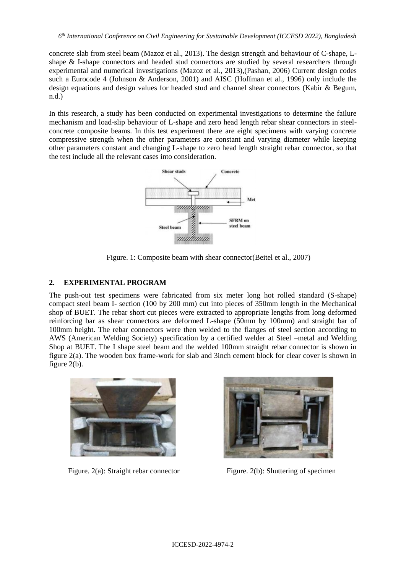concrete slab from steel beam (Mazoz et al., 2013). The design strength and behaviour of C-shape, Lshape & I-shape connectors and headed stud connectors are studied by several researchers through experimental and numerical investigations (Mazoz et al., 2013),(Pashan, 2006) Current design codes such a Eurocode 4 (Johnson & Anderson, 2001) and AISC (Hoffman et al., 1996) only include the design equations and design values for headed stud and channel shear connectors (Kabir & Begum, n.d.)

In this research, a study has been conducted on experimental investigations to determine the failure mechanism and load-slip behaviour of L-shape and zero head length rebar shear connectors in steelconcrete composite beams. In this test experiment there are eight specimens with varying concrete compressive strength when the other parameters are constant and varying diameter while keeping other parameters constant and changing L-shape to zero head length straight rebar connector, so that the test include all the relevant cases into consideration.



Figure. 1: Composite beam with shear connector(Beitel et al., 2007)

## **2. EXPERIMENTAL PROGRAM**

The push-out test specimens were fabricated from six meter long hot rolled standard (S-shape) compact steel beam I- section (100 by 200 mm) cut into pieces of 350mm length in the Mechanical shop of BUET. The rebar short cut pieces were extracted to appropriate lengths from long deformed reinforcing bar as shear connectors are deformed L-shape (50mm by 100mm) and straight bar of 100mm height. The rebar connectors were then welded to the flanges of steel section according to AWS (American Welding Society) specification by a certified welder at Steel –metal and Welding Shop at BUET. The I shape steel beam and the welded 100mm straight rebar connector is shown in figure 2(a). The wooden box frame-work for slab and 3inch cement block for clear cover is shown in figure 2(b).



Figure. 2(a): Straight rebar connector Figure. 2(b): Shuttering of specimen

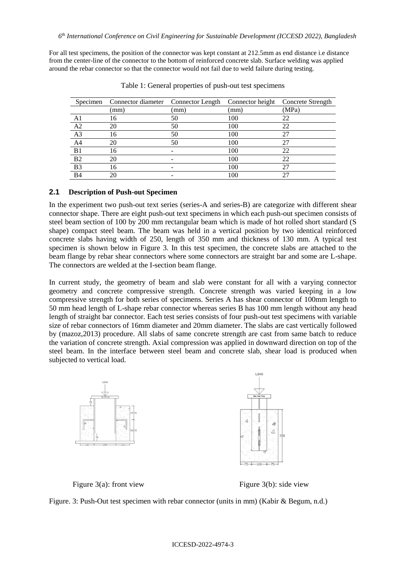For all test specimens, the position of the connector was kept constant at 212.5mm as end distance i.e distance from the center-line of the connector to the bottom of reinforced concrete slab. Surface welding was applied around the rebar connector so that the connector would not fail due to weld failure during testing.

| Specimen       | Connector diameter Connector Length Connector height |      |     | Concrete Strength |
|----------------|------------------------------------------------------|------|-----|-------------------|
|                | (mm)                                                 | (mm) | (mm | (MPa)             |
|                | 16                                                   | 50   | 100 | 22                |
| A <sub>2</sub> | 20                                                   | 50   | 100 | 22                |
| A3             | 16                                                   | 50   | 100 | 27                |
| A4             | 20                                                   | 50   | 100 | 27                |
| B <sub>1</sub> | 16                                                   |      | 100 | 22                |
| B <sub>2</sub> | 20                                                   |      | 100 | 22                |
| B <sub>3</sub> | 16                                                   |      | 100 | 27                |
| <b>B4</b>      | 20                                                   |      | 100 | 27                |

Table 1: General properties of push-out test specimens

#### **2.1 Description of Push-out Specimen**

In the experiment two push-out text series (series-A and series-B) are categorize with different shear connector shape. There are eight push-out text specimens in which each push-out specimen consists of steel beam section of 100 by 200 mm rectangular beam which is made of hot rolled short standard (S shape) compact steel beam. The beam was held in a vertical position by two identical reinforced concrete slabs having width of 250, length of 350 mm and thickness of 130 mm. A typical test specimen is shown below in Figure 3. In this test specimen, the concrete slabs are attached to the beam flange by rebar shear connectors where some connectors are straight bar and some are L-shape. The connectors are welded at the I-section beam flange.

In current study, the geometry of beam and slab were constant for all with a varying connector geometry and concrete compressive strength. Concrete strength was varied keeping in a low compressive strength for both series of specimens. Series A has shear connector of 100mm length to 50 mm head length of L-shape rebar connector whereas series B has 100 mm length without any head length of straight bar connector. Each test series consists of four push-out test specimens with variable size of rebar connectors of 16mm diameter and 20mm diameter. The slabs are cast vertically followed by (mazoz,2013) procedure. All slabs of same concrete strength are cast from same batch to reduce the variation of concrete strength. Axial compression was applied in downward direction on top of the steel beam. In the interface between steel beam and concrete slab, shear load is produced when subjected to vertical load.



Figure 3(a): front view Figure 3(b): side view

Figure. 3: Push-Out test specimen with rebar connector (units in mm) (Kabir & Begum, n.d.)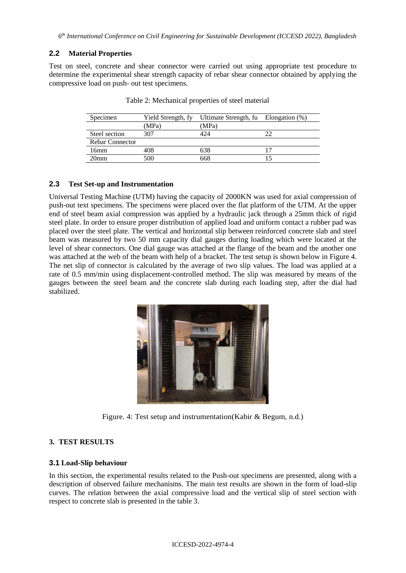## **2.2 Material Properties**

Test on steel, concrete and shear connector were carried out using appropriate test procedure to determine the experimental shear strength capacity of rebar shear connector obtained by applying the compressive load on push- out test specimens.

| Specimen               | Yield Strength, fy | Ultimate Strength, fu Elongation (%) |  |  |
|------------------------|--------------------|--------------------------------------|--|--|
|                        | (MPa)              | (MPa)                                |  |  |
| Steel section          | 307                | 424                                  |  |  |
| <b>Rebar Connector</b> |                    |                                      |  |  |
| 16mm                   | 408                | 638                                  |  |  |
| 20 <sub>mm</sub>       | 500                | 668                                  |  |  |

Table 2: Mechanical properties of steel material

## **2.3 Test Set-up and Instrumentation**

Universal Testing Machine (UTM) having the capacity of 2000KN was used for axial compression of push-out text specimens. The specimens were placed over the flat platform of the UTM. At the upper end of steel beam axial compression was applied by a hydraulic jack through a 25mm thick of rigid steel plate. In order to ensure proper distribution of applied load and uniform contact a rubber pad was placed over the steel plate. The vertical and horizontal slip between reinforced concrete slab and steel beam was measured by two 50 mm capacity dial gauges during loading which were located at the level of shear connectors. One dial gauge was attached at the flange of the beam and the another one was attached at the web of the beam with help of a bracket. The test setup is shown below in Figure 4. The net slip of connector is calculated by the average of two slip values. The load was applied at a rate of 0.5 mm/min using displacement-controlled method. The slip was measured by means of the gauges between the steel beam and the concrete slab during each loading step, after the dial had stabilized.



Figure. 4: Test setup and instrumentation(Kabir & Begum, n.d.)

### **3. TEST RESULTS**

### **3.1 Load-Slip behaviour**

In this section, the experimental results related to the Push-out specimens are presented, along with a description of observed failure mechanisms. The main test results are shown in the form of load-slip curves. The relation between the axial compressive load and the vertical slip of steel section with respect to concrete slab is presented in the table 3.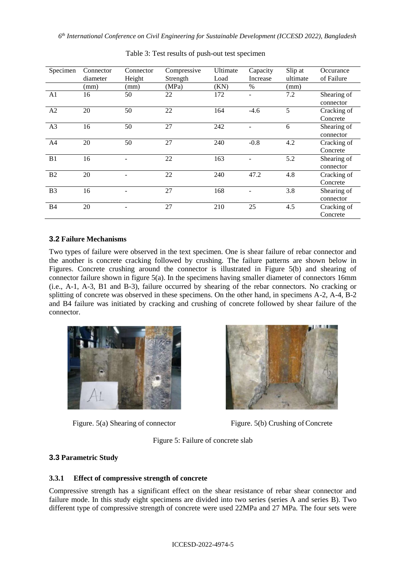| Specimen       | Connector<br>diameter | Connector<br>Height | Compressive<br>Strength | Ultimate<br>Load | Capacity<br>Increase | Slip at<br>ultimate | Occurance<br>of Failure  |
|----------------|-----------------------|---------------------|-------------------------|------------------|----------------------|---------------------|--------------------------|
|                | (mm)                  | (mm)                | (MPa)                   | (KN)             | $\%$                 | (mm)                |                          |
| A1             | 16                    | 50                  | 22                      | 172              | $\overline{a}$       | 7.2                 | Shearing of<br>connector |
| A2             | 20                    | 50                  | 22                      | 164              | $-4.6$               | 5                   | Cracking of<br>Concrete  |
| A <sub>3</sub> | 16                    | 50                  | 27                      | 242              |                      | 6                   | Shearing of<br>connector |
| A <sub>4</sub> | 20                    | 50                  | 27                      | 240              | $-0.8$               | 4.2                 | Cracking of<br>Concrete  |
| B1             | 16                    |                     | 22                      | 163              |                      | 5.2                 | Shearing of<br>connector |
| B2             | 20                    |                     | 22                      | 240              | 47.2                 | 4.8                 | Cracking of<br>Concrete  |
| B <sub>3</sub> | 16                    |                     | 27                      | 168              |                      | 3.8                 | Shearing of<br>connector |
| <b>B4</b>      | 20                    |                     | 27                      | 210              | 25                   | 4.5                 | Cracking of<br>Concrete  |

Table 3: Test results of push-out test specimen

### **3.2 Failure Mechanisms**

Two types of failure were observed in the text specimen. One is shear failure of rebar connector and the another is concrete cracking followed by crushing. The failure patterns are shown below in Figures. Concrete crushing around the connector is illustrated in Figure 5(b) and shearing of connector failure shown in figure 5(a). In the specimens having smaller diameter of connectors 16mm (i.e., A-1, A-3, B1 and B-3), failure occurred by shearing of the rebar connectors. No cracking or splitting of concrete was observed in these specimens. On the other hand, in specimens A-2, A-4, B-2 and B4 failure was initiated by cracking and crushing of concrete followed by shear failure of the connector.



Figure. 5(a) Shearing of connector Figure. 5(b) Crushing of Concrete



Figure 5: Failure of concrete slab

### **3.3 Parametric Study**

#### **3.3.1 Effect of compressive strength of concrete**

Compressive strength has a significant effect on the shear resistance of rebar shear connector and failure mode. In this study eight specimens are divided into two series (series A and series B). Two different type of compressive strength of concrete were used 22MPa and 27 MPa. The four sets were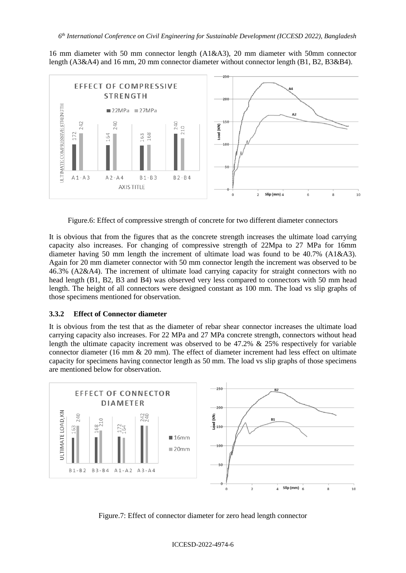16 mm diameter with 50 mm connector length (A1&A3), 20 mm diameter with 50mm connector length (A3&A4) and 16 mm, 20 mm connector diameter without connector length (B1, B2, B3&B4).



Figure.6: Effect of compressive strength of concrete for two different diameter connectors

It is obvious that from the figures that as the concrete strength increases the ultimate load carrying capacity also increases. For changing of compressive strength of 22Mpa to 27 MPa for 16mm diameter having 50 mm length the increment of ultimate load was found to be 40.7% (A1&A3). Again for 20 mm diameter connector with 50 mm connector length the increment was observed to be 46.3% (A2&A4). The increment of ultimate load carrying capacity for straight connectors with no head length (B1, B2, B3 and B4) was observed very less compared to connectors with 50 mm head length. The height of all connectors were designed constant as 100 mm. The load vs slip graphs of those specimens mentioned for observation.

#### **3.3.2 Effect of Connector diameter**

It is obvious from the test that as the diameter of rebar shear connector increases the ultimate load carrying capacity also increases. For 22 MPa and 27 MPa concrete strength, connectors without head length the ultimate capacity increment was observed to be 47.2% & 25% respectively for variable connector diameter (16 mm & 20 mm). The effect of diameter increment had less effect on ultimate capacity for specimens having connector length as 50 mm. The load vs slip graphs of those specimens are mentioned below for observation.



Figure.7: Effect of connector diameter for zero head length connector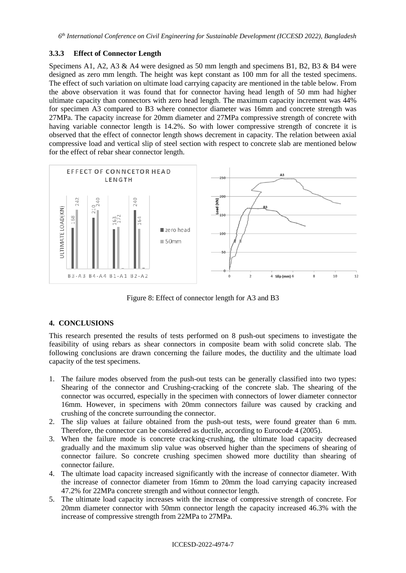## **3.3.3 Effect of Connector Length**

Specimens A1, A2, A3 & A4 were designed as 50 mm length and specimens B1, B2, B3 & B4 were designed as zero mm length. The height was kept constant as 100 mm for all the tested specimens. The effect of such variation on ultimate load carrying capacity are mentioned in the table below. From the above observation it was found that for connector having head length of 50 mm had higher ultimate capacity than connectors with zero head length. The maximum capacity increment was 44% for specimen A3 compared to B3 where connector diameter was 16mm and concrete strength was 27MPa. The capacity increase for 20mm diameter and 27MPa compressive strength of concrete with having variable connector length is 14.2%. So with lower compressive strength of concrete it is observed that the effect of connector length shows decrement in capacity. The relation between axial compressive load and vertical slip of steel section with respect to concrete slab are mentioned below for the effect of rebar shear connector length.



Figure 8: Effect of connector length for A3 and B3

# **4. CONCLUSIONS**

This research presented the results of tests performed on 8 push-out specimens to investigate the feasibility of using rebars as shear connectors in composite beam with solid concrete slab. The following conclusions are drawn concerning the failure modes, the ductility and the ultimate load capacity of the test specimens.

- 1. The failure modes observed from the push-out tests can be generally classified into two types: Shearing of the connector and Crushing-cracking of the concrete slab. The shearing of the connector was occurred, especially in the specimen with connectors of lower diameter connector 16mm. However, in specimens with 20mm connectors failure was caused by cracking and crushing of the concrete surrounding the connector.
- 2. The slip values at failure obtained from the push-out tests, were found greater than 6 mm. Therefore, the connector can be considered as ductile, according to Eurocode 4 (2005).
- 3. When the failure mode is concrete cracking-crushing, the ultimate load capacity decreased gradually and the maximum slip value was observed higher than the specimens of shearing of connector failure. So concrete crushing specimen showed more ductility than shearing of connector failure.
- 4. The ultimate load capacity increased significantly with the increase of connector diameter. With the increase of connector diameter from 16mm to 20mm the load carrying capacity increased 47.2% for 22MPa concrete strength and without connector length.
- 5. The ultimate load capacity increases with the increase of compressive strength of concrete. For 20mm diameter connector with 50mm connector length the capacity increased 46.3% with the increase of compressive strength from 22MPa to 27MPa.